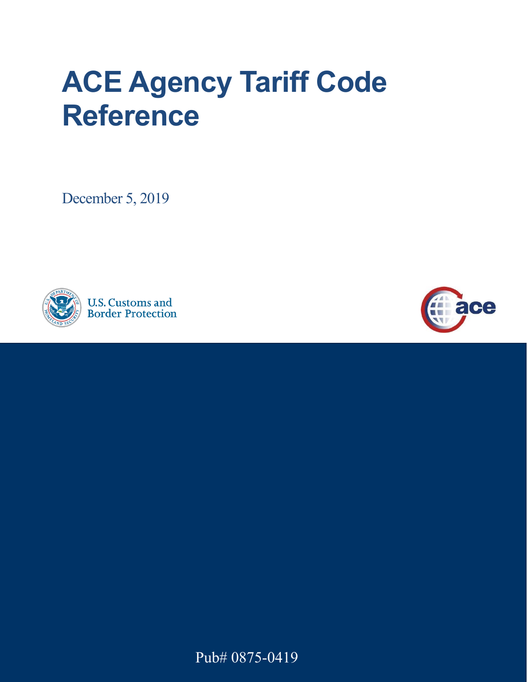## **ACE Agency Tariff Code Reference**

December 5, 2019



**U.S. Customs and Border Protection** 



Pub# 0875-0419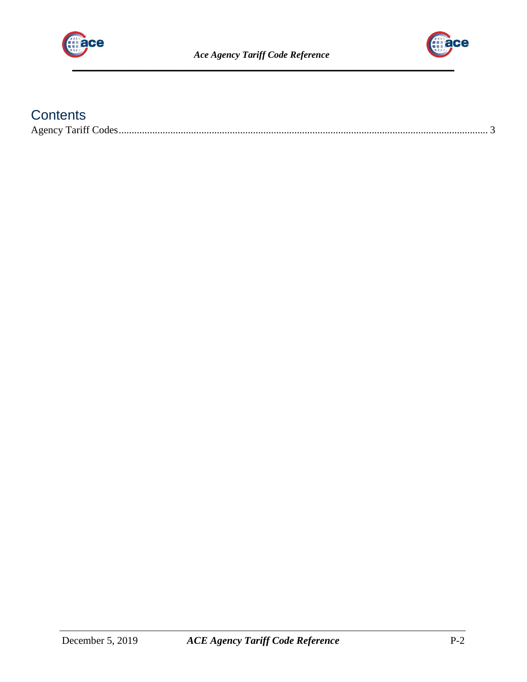



## **Contents**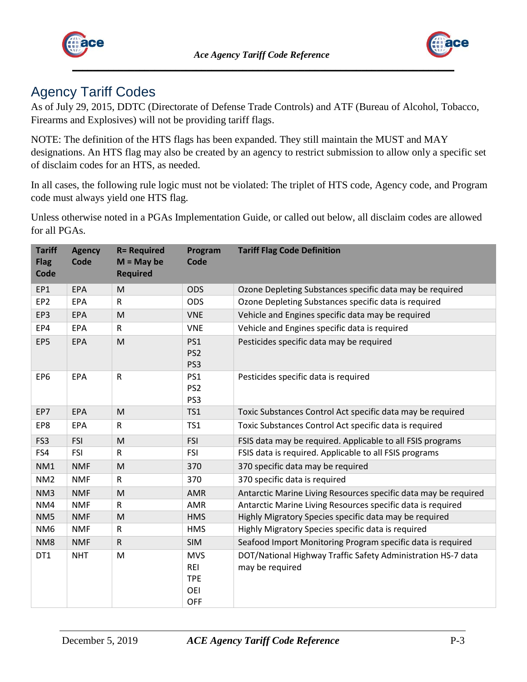



## <span id="page-2-0"></span>Agency Tariff Codes

As of July 29, 2015, DDTC (Directorate of Defense Trade Controls) and ATF (Bureau of Alcohol, Tobacco, Firearms and Explosives) will not be providing tariff flags.

NOTE: The definition of the HTS flags has been expanded. They still maintain the MUST and MAY designations. An HTS flag may also be created by an agency to restrict submission to allow only a specific set of disclaim codes for an HTS, as needed.

In all cases, the following rule logic must not be violated: The triplet of HTS code, Agency code, and Program code must always yield one HTS flag.

Unless otherwise noted in a PGAs Implementation Guide, or called out below, all disclaim codes are allowed for all PGAs.

| <b>Tariff</b><br><b>Flag</b><br>Code | <b>Agency</b><br><b>Code</b> | <b>R= Required</b><br>$M = May$ be<br><b>Required</b> | Program<br>Code                                             | <b>Tariff Flag Code Definition</b>                                              |
|--------------------------------------|------------------------------|-------------------------------------------------------|-------------------------------------------------------------|---------------------------------------------------------------------------------|
| EP1                                  | <b>EPA</b>                   | M                                                     | <b>ODS</b>                                                  | Ozone Depleting Substances specific data may be required                        |
| EP <sub>2</sub>                      | <b>EPA</b>                   | ${\sf R}$                                             | <b>ODS</b>                                                  | Ozone Depleting Substances specific data is required                            |
| EP3                                  | <b>EPA</b>                   | M                                                     | <b>VNE</b>                                                  | Vehicle and Engines specific data may be required                               |
| EP4                                  | EPA                          | $\mathsf{R}$                                          | <b>VNE</b>                                                  | Vehicle and Engines specific data is required                                   |
| EP5                                  | <b>EPA</b>                   | M                                                     | PS1<br>PS <sub>2</sub><br>PS3                               | Pesticides specific data may be required                                        |
| EP <sub>6</sub>                      | <b>EPA</b>                   | ${\sf R}$                                             | PS1<br>PS <sub>2</sub><br>PS3                               | Pesticides specific data is required                                            |
| EP7                                  | <b>EPA</b>                   | M                                                     | TS1                                                         | Toxic Substances Control Act specific data may be required                      |
| EP8                                  | <b>EPA</b>                   | $\mathsf{R}$                                          | TS1                                                         | Toxic Substances Control Act specific data is required                          |
| FS3                                  | FSI                          | M                                                     | FSI                                                         | FSIS data may be required. Applicable to all FSIS programs                      |
| FS4                                  | FSI                          | $\mathsf{R}$                                          | FSI                                                         | FSIS data is required. Applicable to all FSIS programs                          |
| NM1                                  | <b>NMF</b>                   | ${\sf M}$                                             | 370                                                         | 370 specific data may be required                                               |
| NM <sub>2</sub>                      | <b>NMF</b>                   | $\mathsf R$                                           | 370                                                         | 370 specific data is required                                                   |
| NM <sub>3</sub>                      | <b>NMF</b>                   | M                                                     | <b>AMR</b>                                                  | Antarctic Marine Living Resources specific data may be required                 |
| NM4                                  | <b>NMF</b>                   | R                                                     | AMR                                                         | Antarctic Marine Living Resources specific data is required                     |
| NM <sub>5</sub>                      | <b>NMF</b>                   | M                                                     | <b>HMS</b>                                                  | Highly Migratory Species specific data may be required                          |
| NM <sub>6</sub>                      | <b>NMF</b>                   | R                                                     | <b>HMS</b>                                                  | Highly Migratory Species specific data is required                              |
| NM <sub>8</sub>                      | <b>NMF</b>                   | $\mathsf{R}$                                          | <b>SIM</b>                                                  | Seafood Import Monitoring Program specific data is required                     |
| DT1                                  | <b>NHT</b>                   | M                                                     | <b>MVS</b><br><b>REI</b><br><b>TPE</b><br>OEI<br><b>OFF</b> | DOT/National Highway Traffic Safety Administration HS-7 data<br>may be required |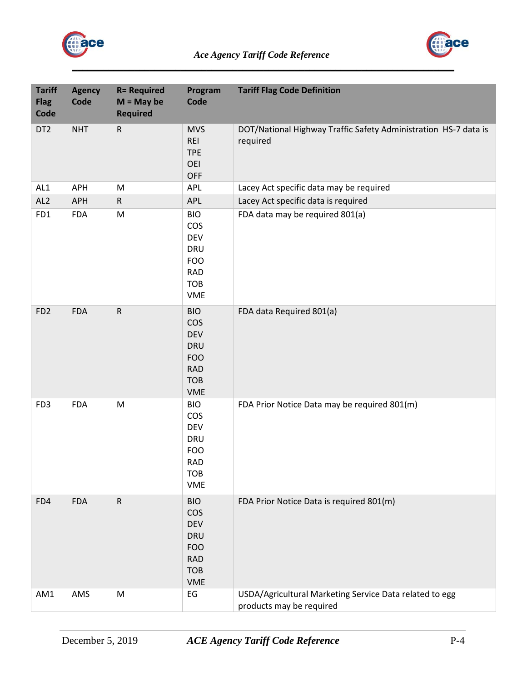



| <b>Tariff</b><br><b>Flag</b><br>Code | <b>Agency</b><br>Code | <b>R= Required</b><br>$M = May$ be<br><b>Required</b> | Program<br>Code                                                                                              | <b>Tariff Flag Code Definition</b>                                                  |
|--------------------------------------|-----------------------|-------------------------------------------------------|--------------------------------------------------------------------------------------------------------------|-------------------------------------------------------------------------------------|
| DT <sub>2</sub>                      | <b>NHT</b>            | $\mathsf{R}$                                          | <b>MVS</b><br><b>REI</b><br><b>TPE</b><br>OEI<br><b>OFF</b>                                                  | DOT/National Highway Traffic Safety Administration HS-7 data is<br>required         |
| AL1                                  | APH                   | M                                                     | <b>APL</b>                                                                                                   | Lacey Act specific data may be required                                             |
| AL <sub>2</sub>                      | APH                   | $\mathsf{R}$                                          | APL                                                                                                          | Lacey Act specific data is required                                                 |
| FD1                                  | <b>FDA</b>            | ${\sf M}$                                             | <b>BIO</b><br>cos<br><b>DEV</b><br><b>DRU</b><br><b>FOO</b><br><b>RAD</b><br><b>TOB</b><br><b>VME</b>        | FDA data may be required 801(a)                                                     |
| FD <sub>2</sub>                      | <b>FDA</b>            | ${\sf R}$                                             | <b>BIO</b><br>cos<br><b>DEV</b><br><b>DRU</b><br><b>FOO</b><br><b>RAD</b><br><b>TOB</b><br>VME               | FDA data Required 801(a)                                                            |
| FD <sub>3</sub>                      | <b>FDA</b>            | ${\sf M}$                                             | <b>BIO</b><br>COS<br><b>DEV</b><br><b>DRU</b><br><b>FOO</b><br><b>RAD</b><br><b>TOB</b><br><b>VME</b>        | FDA Prior Notice Data may be required 801(m)                                        |
| FD4                                  | <b>FDA</b>            | ${\sf R}$                                             | <b>BIO</b><br><b>COS</b><br><b>DEV</b><br><b>DRU</b><br><b>FOO</b><br><b>RAD</b><br><b>TOB</b><br><b>VME</b> | FDA Prior Notice Data is required 801(m)                                            |
| AM1                                  | AMS                   | ${\sf M}$                                             | $\mathsf{E}\mathsf{G}$                                                                                       | USDA/Agricultural Marketing Service Data related to egg<br>products may be required |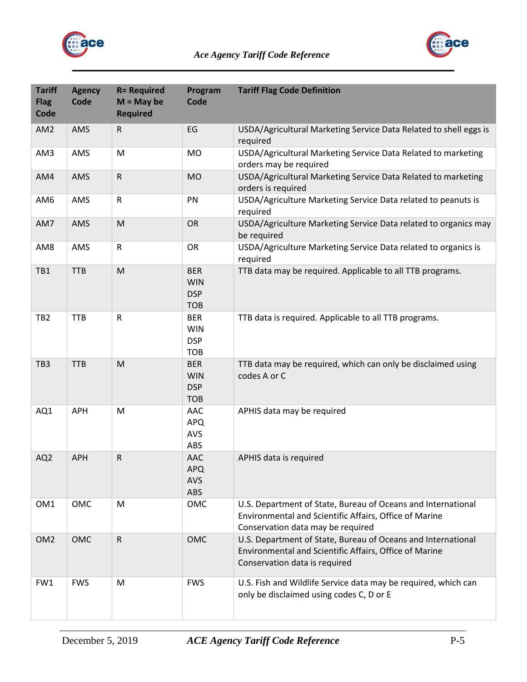



| <b>Tariff</b><br><b>Flag</b><br>Code | <b>Agency</b><br>Code | <b>R= Required</b><br>$M = May$ be<br><b>Required</b> | Program<br>Code                                      | <b>Tariff Flag Code Definition</b>                                                                                                                          |
|--------------------------------------|-----------------------|-------------------------------------------------------|------------------------------------------------------|-------------------------------------------------------------------------------------------------------------------------------------------------------------|
| AM <sub>2</sub>                      | AMS                   | $\mathsf{R}$                                          | EG                                                   | USDA/Agricultural Marketing Service Data Related to shell eggs is<br>required                                                                               |
| AM3                                  | AMS                   | M                                                     | <b>MO</b>                                            | USDA/Agricultural Marketing Service Data Related to marketing<br>orders may be required                                                                     |
| AM4                                  | AMS                   | ${\sf R}$                                             | <b>MO</b>                                            | USDA/Agricultural Marketing Service Data Related to marketing<br>orders is required                                                                         |
| AM6                                  | AMS                   | ${\sf R}$                                             | PN                                                   | USDA/Agriculture Marketing Service Data related to peanuts is<br>required                                                                                   |
| AM7                                  | AMS                   | M                                                     | OR                                                   | USDA/Agriculture Marketing Service Data related to organics may<br>be required                                                                              |
| AM8                                  | AMS                   | ${\sf R}$                                             | <b>OR</b>                                            | USDA/Agriculture Marketing Service Data related to organics is<br>required                                                                                  |
| TB1                                  | <b>TTB</b>            | ${\sf M}$                                             | <b>BER</b><br><b>WIN</b><br><b>DSP</b><br><b>TOB</b> | TTB data may be required. Applicable to all TTB programs.                                                                                                   |
| TB <sub>2</sub>                      | <b>TTB</b>            | ${\sf R}$                                             | <b>BER</b><br><b>WIN</b><br><b>DSP</b><br><b>TOB</b> | TTB data is required. Applicable to all TTB programs.                                                                                                       |
| TB <sub>3</sub>                      | <b>TTB</b>            | ${\sf M}$                                             | <b>BER</b><br><b>WIN</b><br><b>DSP</b><br><b>TOB</b> | TTB data may be required, which can only be disclaimed using<br>codes A or C                                                                                |
| AQ1                                  | <b>APH</b>            | M                                                     | AAC<br><b>APQ</b><br>AVS<br>ABS                      | APHIS data may be required                                                                                                                                  |
| AQ <sub>2</sub>                      | <b>APH</b>            | $\mathsf R$                                           | <b>AAC</b><br>APQ<br><b>AVS</b><br>ABS               | APHIS data is required                                                                                                                                      |
| OM <sub>1</sub>                      | <b>OMC</b>            | M                                                     | OMC                                                  | U.S. Department of State, Bureau of Oceans and International<br>Environmental and Scientific Affairs, Office of Marine<br>Conservation data may be required |
| OM <sub>2</sub>                      | <b>OMC</b>            | ${\sf R}$                                             | OMC                                                  | U.S. Department of State, Bureau of Oceans and International<br>Environmental and Scientific Affairs, Office of Marine<br>Conservation data is required     |
| FW1                                  | <b>FWS</b>            | M                                                     | <b>FWS</b>                                           | U.S. Fish and Wildlife Service data may be required, which can<br>only be disclaimed using codes C, D or E                                                  |